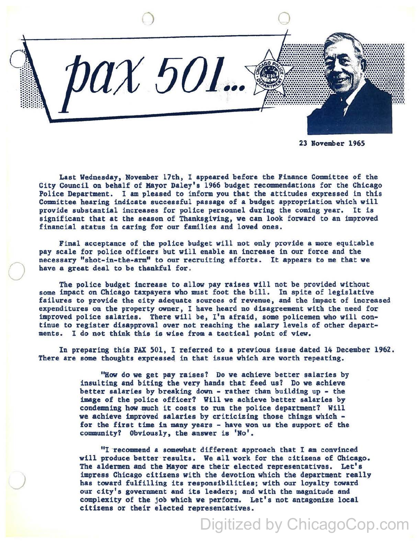

23 November 1965

Last Wednesday, November 17th, I appeared before the Finance Committee of the City Council on behalf of Mayor Daley's 1966 budget recommendations for the Chicago Police Department. I am pleased to inform you that the attitudes expressed in this Committee hearing indicate successful passage of a budget appropriation which will provide substantial increases for police personnel during the coming year. It is significant that at the season of Thanksgiving, we can look forward to an improved financial status in caring for our families and loved ones.

Final acceptance of the police budget will not only provide a more equitable pay scale for police officers but will enable an increase in our force and the necessary "shot-in-the-arm" to our recruiting efforts. It appears to me that we have a great deal to be thankful for.

The police budget increase to allow pay raises will not be provided without some impact on Chicago taxpayers who must foot the bill. In spite of legislative failures to provide the city adequate sources of revenue, and the impact of increased expenditures on the property owner, I have heard no disagreement with the need for improved police salaries. There will be, I'm afraid, some policemen who will continue to register disapproval over not reaching the salary levels of other departments. I do not think this is wise from a tactical point of view.

In preparing this PAX 501, I referred to a previous issue dated 14 December 1962. There are some thoughts expressed in that issue which are worth repeating.

> "How do we get pay raises? Do we achieve better salaries by insulting and biting the very hands that feed us? Do we achieve better salaries by breaking down - rather than building up - the image of the police officer? Will we achieve better salaries by condemning how much it costs to run the police department? Will we achieve improved salaries by criticizing those things which for the first time in many years - have won us the support of the community? Obviously, the answer is 'No'.

"I recommend a somewhat different approach that I am convinced will produce better results. We all work for the citizens of Chicago. The aldermen and the Mayor are their elected representatives. Let's impress Chicago citizens with the devotion which the department really has toward fulfilling its responsibilities; with our loyalty toward our city's government and its leaders; and with the magnitude and complexity of the job which we perform. Let's not antagonize local citizens or their elected representatives.

Digitized by ChicagoCop.com